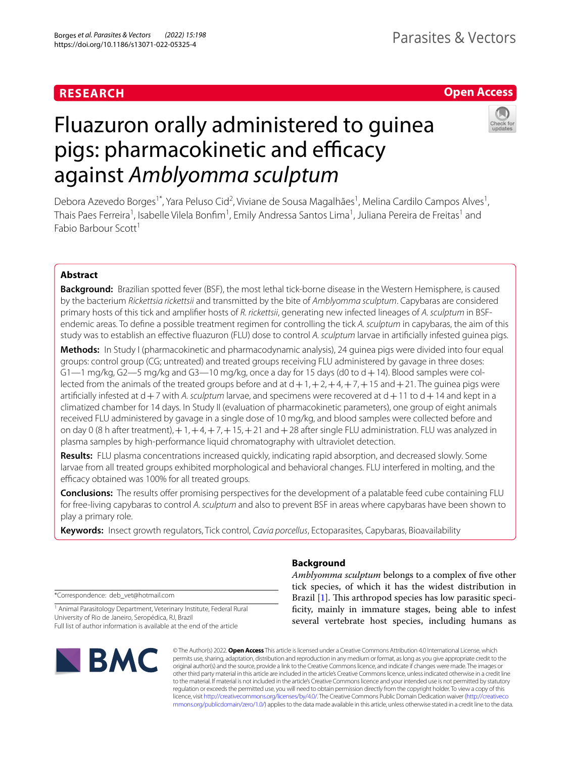# **RESEARCH**

## **Open Access**

# Fluazuron orally administered to guinea pigs: pharmacokinetic and efficacy against *Amblyomma sculptum*



Debora Azevedo Borges<sup>1\*</sup>, Yara Peluso Cid<sup>2</sup>, Viviane de Sousa Magalhães<sup>1</sup>, Melina Cardilo Campos Alves<sup>1</sup>, Thais Paes Ferreira<sup>1</sup>, Isabelle Vilela Bonfim<sup>1</sup>, Emily Andressa Santos Lima<sup>1</sup>, Juliana Pereira de Freitas<sup>1</sup> and Fabio Barbour Scott<sup>1</sup>

## **Abstract**

**Background:** Brazilian spotted fever (BSF), the most lethal tick-borne disease in the Western Hemisphere, is caused by the bacterium *Rickettsia rickettsii* and transmitted by the bite of *Amblyomma sculptum*. Capybaras are considered primary hosts of this tick and amplifer hosts of *R. rickettsii*, generating new infected lineages of *A. sculptum* in BSFendemic areas. To defne a possible treatment regimen for controlling the tick *A. sculptum* in capybaras, the aim of this study was to establish an efective fuazuron (FLU) dose to control *A. sculptum* larvae in artifcially infested guinea pigs.

**Methods:** In Study I (pharmacokinetic and pharmacodynamic analysis), 24 guinea pigs were divided into four equal groups: control group (CG; untreated) and treated groups receiving FLU administered by gavage in three doses:  $G1-1$  mg/kg,  $G2-5$  mg/kg and  $G3-10$  mg/kg, once a day for 15 days (d0 to  $d+14$ ). Blood samples were collected from the animals of the treated groups before and at  $d+1$ ,  $+2$ ,  $+4$ ,  $+7$ ,  $+15$  and  $+21$ . The guinea pigs were artificially infested at  $d+7$  with A. *sculptum* larvae, and specimens were recovered at  $d+11$  to  $d+14$  and kept in a climatized chamber for 14 days. In Study II (evaluation of pharmacokinetic parameters), one group of eight animals received FLU administered by gavage in a single dose of 10 mg/kg, and blood samples were collected before and on day 0 (8 h after treatment),  $+1$ ,  $+4$ ,  $+7$ ,  $+15$ ,  $+21$  and  $+28$  after single FLU administration. FLU was analyzed in plasma samples by high-performance liquid chromatography with ultraviolet detection.

**Results:** FLU plasma concentrations increased quickly, indicating rapid absorption, and decreased slowly. Some larvae from all treated groups exhibited morphological and behavioral changes. FLU interfered in molting, and the efficacy obtained was 100% for all treated groups.

**Conclusions:** The results offer promising perspectives for the development of a palatable feed cube containing FLU for free-living capybaras to control *A. sculptum* and also to prevent BSF in areas where capybaras have been shown to play a primary role.

**Keywords:** Insect growth regulators, Tick control, *Cavia porcellus*, Ectoparasites, Capybaras, Bioavailability

\*Correspondence: deb\_vet@hotmail.com

<sup>1</sup> Animal Parasitology Department, Veterinary Institute, Federal Rural University of Rio de Janeiro, Seropédica, RJ, Brazil Full list of author information is available at the end of the article



## **Background**

*Amblyomma sculptum* belongs to a complex of fve other tick species, of which it has the widest distribution in Brazil  $[1]$  $[1]$ . This arthropod species has low parasitic specifcity, mainly in immature stages, being able to infest several vertebrate host species, including humans as

© The Author(s) 2022. **Open Access** This article is licensed under a Creative Commons Attribution 4.0 International License, which permits use, sharing, adaptation, distribution and reproduction in any medium or format, as long as you give appropriate credit to the original author(s) and the source, provide a link to the Creative Commons licence, and indicate if changes were made. The images or other third party material in this article are included in the article's Creative Commons licence, unless indicated otherwise in a credit line to the material. If material is not included in the article's Creative Commons licence and your intended use is not permitted by statutory regulation or exceeds the permitted use, you will need to obtain permission directly from the copyright holder. To view a copy of this licence, visit [http://creativecommons.org/licenses/by/4.0/.](http://creativecommons.org/licenses/by/4.0/) The Creative Commons Public Domain Dedication waiver ([http://creativeco](http://creativecommons.org/publicdomain/zero/1.0/) [mmons.org/publicdomain/zero/1.0/](http://creativecommons.org/publicdomain/zero/1.0/)) applies to the data made available in this article, unless otherwise stated in a credit line to the data.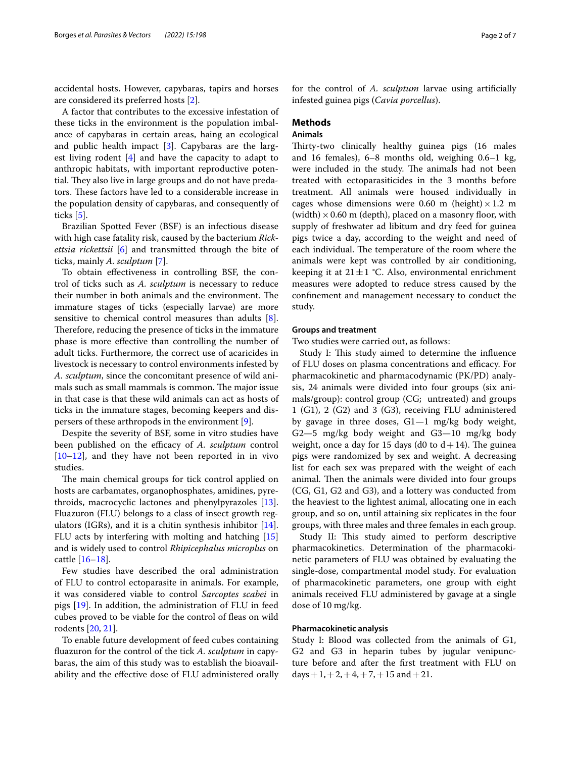accidental hosts. However, capybaras, tapirs and horses are considered its preferred hosts [\[2](#page-5-1)].

A factor that contributes to the excessive infestation of these ticks in the environment is the population imbalance of capybaras in certain areas, haing an ecological and public health impact [[3](#page-5-2)]. Capybaras are the largest living rodent [[4\]](#page-5-3) and have the capacity to adapt to anthropic habitats, with important reproductive potential. They also live in large groups and do not have predators. These factors have led to a considerable increase in the population density of capybaras, and consequently of ticks [\[5](#page-6-0)].

Brazilian Spotted Fever (BSF) is an infectious disease with high case fatality risk, caused by the bacterium *Rickettsia rickettsii* [\[6](#page-6-1)] and transmitted through the bite of ticks, mainly *A. sculptum* [[7\]](#page-6-2).

To obtain efectiveness in controlling BSF, the control of ticks such as *A. sculptum* is necessary to reduce their number in both animals and the environment. The immature stages of ticks (especially larvae) are more sensitive to chemical control measures than adults [\[8](#page-6-3)]. Therefore, reducing the presence of ticks in the immature phase is more efective than controlling the number of adult ticks. Furthermore, the correct use of acaricides in livestock is necessary to control environments infested by *A. sculptum*, since the concomitant presence of wild animals such as small mammals is common. The major issue in that case is that these wild animals can act as hosts of ticks in the immature stages, becoming keepers and dispersers of these arthropods in the environment [\[9](#page-6-4)].

Despite the severity of BSF, some in vitro studies have been published on the efficacy of *A. sculptum* control [[10–](#page-6-5)[12](#page-6-6)], and they have not been reported in in vivo studies.

The main chemical groups for tick control applied on hosts are carbamates, organophosphates, amidines, pyrethroids, macrocyclic lactones and phenylpyrazoles [\[13](#page-6-7)]. Fluazuron (FLU) belongs to a class of insect growth regulators (IGRs), and it is a chitin synthesis inhibitor [\[14](#page-6-8)]. FLU acts by interfering with molting and hatching [[15](#page-6-9)] and is widely used to control *Rhipicephalus microplus* on cattle [\[16](#page-6-10)[–18](#page-6-11)].

Few studies have described the oral administration of FLU to control ectoparasite in animals. For example, it was considered viable to control *Sarcoptes scabei* in pigs [[19](#page-6-12)]. In addition, the administration of FLU in feed cubes proved to be viable for the control of feas on wild rodents [\[20](#page-6-13), [21\]](#page-6-14).

To enable future development of feed cubes containing fuazuron for the control of the tick *A. sculptum* in capybaras, the aim of this study was to establish the bioavailability and the efective dose of FLU administered orally for the control of *A. sculptum* larvae using artifcially infested guinea pigs (*Cavia porcellus*).

## **Methods**

## **Animals**

Thirty-two clinically healthy guinea pigs (16 males and 16 females), 6–8 months old, weighing 0.6–1 kg, were included in the study. The animals had not been treated with ectoparasiticides in the 3 months before treatment. All animals were housed individually in cages whose dimensions were 0.60 m (height)  $\times$  1.2 m (width)  $\times$  0.60 m (depth), placed on a masonry floor, with supply of freshwater ad libitum and dry feed for guinea pigs twice a day, according to the weight and need of each individual. The temperature of the room where the animals were kept was controlled by air conditioning, keeping it at  $21 \pm 1$  °C. Also, environmental enrichment measures were adopted to reduce stress caused by the confnement and management necessary to conduct the study.

## **Groups and treatment**

Two studies were carried out, as follows:

Study I: This study aimed to determine the influence of FLU doses on plasma concentrations and efficacy. For pharmacokinetic and pharmacodynamic (PK/PD) analysis, 24 animals were divided into four groups (six animals/group): control group (CG; untreated) and groups 1 (G1), 2 (G2) and 3 (G3), receiving FLU administered by gavage in three doses, G1—1 mg/kg body weight, G2—5 mg/kg body weight and G3—10 mg/kg body weight, once a day for 15 days (d0 to  $d+14$ ). The guinearpigs were randomized by sex and weight. A decreasing list for each sex was prepared with the weight of each animal. Then the animals were divided into four groups (CG, G1, G2 and G3), and a lottery was conducted from the heaviest to the lightest animal, allocating one in each group, and so on, until attaining six replicates in the four groups, with three males and three females in each group.

Study II: This study aimed to perform descriptive pharmacokinetics. Determination of the pharmacokinetic parameters of FLU was obtained by evaluating the single-dose, compartmental model study. For evaluation of pharmacokinetic parameters, one group with eight animals received FLU administered by gavage at a single dose of 10 mg/kg.

## **Pharmacokinetic analysis**

Study I: Blood was collected from the animals of G1, G2 and G3 in heparin tubes by jugular venipuncture before and after the frst treatment with FLU on days + 1, + 2, + 4, + 7, + 15 and + 21.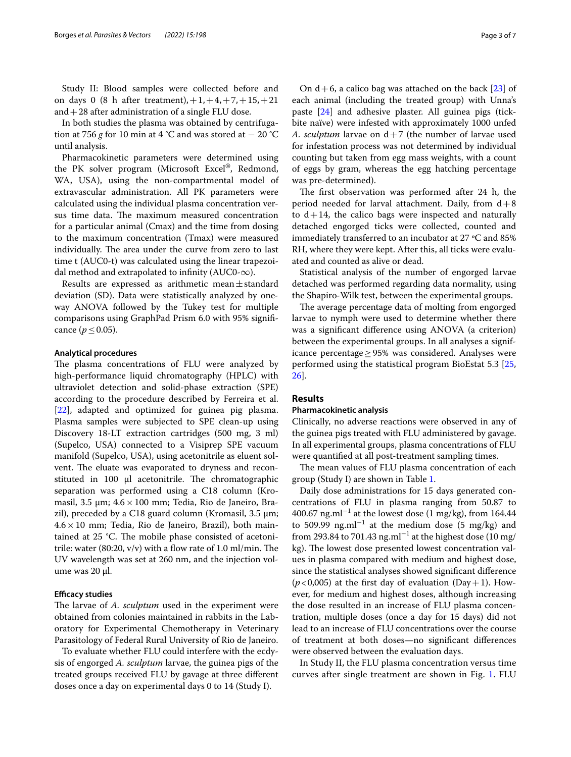Study II: Blood samples were collected before and on days 0 (8 h after treatment),  $+1, +4, +7, +15, +21$ and  $+28$  after administration of a single FLU dose.

In both studies the plasma was obtained by centrifugation at 756 *g* for 10 min at 4 °C and was stored at  $-$  20 °C until analysis.

Pharmacokinetic parameters were determined using the PK solver program (Microsoft Excel®, Redmond, WA, USA), using the non-compartmental model of extravascular administration. All PK parameters were calculated using the individual plasma concentration versus time data. The maximum measured concentration for a particular animal (Cmax) and the time from dosing to the maximum concentration (Tmax) were measured individually. The area under the curve from zero to last time t (AUC0-t) was calculated using the linear trapezoidal method and extrapolated to infinity (AUC0- $\infty$ ).

Results are expressed as arithmetic mean $\pm$ standard deviation (SD). Data were statistically analyzed by oneway ANOVA followed by the Tukey test for multiple comparisons using GraphPad Prism 6.0 with 95% signifcance ( $p \le 0.05$ ).

## **Analytical procedures**

The plasma concentrations of FLU were analyzed by high-performance liquid chromatography (HPLC) with ultraviolet detection and solid-phase extraction (SPE) according to the procedure described by Ferreira et al. [[22\]](#page-6-15), adapted and optimized for guinea pig plasma. Plasma samples were subjected to SPE clean-up using Discovery 18-LT extraction cartridges (500 mg, 3 ml) (Supelco, USA) connected to a Visiprep SPE vacuum manifold (Supelco, USA), using acetonitrile as eluent solvent. The eluate was evaporated to dryness and reconstituted in 100 μl acetonitrile. The chromatographic separation was performed using a C18 column (Kromasil, 3.5  $\mu$ m; 4.6 × 100 mm; Tedia, Rio de Janeiro, Brazil), preceded by a C18 guard column (Kromasil, 3.5 µm;  $4.6 \times 10$  mm; Tedia, Rio de Janeiro, Brazil), both maintained at 25  $°C$ . The mobile phase consisted of acetonitrile: water (80:20,  $v/v$ ) with a flow rate of 1.0 ml/min. The UV wavelength was set at 260 nm, and the injection volume was 20 µl.

## **Efficacy studies**

The larvae of *A. sculptum* used in the experiment were obtained from colonies maintained in rabbits in the Laboratory for Experimental Chemotherapy in Veterinary Parasitology of Federal Rural University of Rio de Janeiro.

To evaluate whether FLU could interfere with the ecdysis of engorged *A. sculptum* larvae, the guinea pigs of the treated groups received FLU by gavage at three diferent doses once a day on experimental days 0 to 14 (Study I).

On  $d+6$ , a calico bag was attached on the back [[23\]](#page-6-16) of each animal (including the treated group) with Unna's paste [\[24](#page-6-17)] and adhesive plaster. All guinea pigs (tickbite naïve) were infested with approximately 1000 unfed *A. sculptum* larvae on d+7 (the number of larvae used for infestation process was not determined by individual counting but taken from egg mass weights, with a count of eggs by gram, whereas the egg hatching percentage was pre-determined).

The first observation was performed after 24 h, the period needed for larval attachment. Daily, from  $d+8$ to  $d+14$ , the calico bags were inspected and naturally detached engorged ticks were collected, counted and immediately transferred to an incubator at 27 ºC and 85% RH, where they were kept. After this, all ticks were evaluated and counted as alive or dead.

Statistical analysis of the number of engorged larvae detached was performed regarding data normality, using the Shapiro-Wilk test, between the experimental groups.

The average percentage data of molting from engorged larvae to nymph were used to determine whether there was a signifcant diference using ANOVA (a criterion) between the experimental groups. In all analyses a significance percentage≥95% was considered. Analyses were performed using the statistical program BioEstat 5.3 [[25](#page-6-18), [26\]](#page-6-19).

## **Results**

## **Pharmacokinetic analysis**

Clinically, no adverse reactions were observed in any of the guinea pigs treated with FLU administered by gavage. In all experimental groups, plasma concentrations of FLU were quantifed at all post-treatment sampling times.

The mean values of FLU plasma concentration of each group (Study I) are shown in Table [1.](#page-3-0)

Daily dose administrations for 15 days generated concentrations of FLU in plasma ranging from 50.87 to 400.67 ng.ml<sup>-1</sup> at the lowest dose (1 mg/kg), from 164.44 to 509.99  $\text{ng.ml}^{-1}$  at the medium dose (5 mg/kg) and from 293.84 to 701.43 ng.ml<sup>-1</sup> at the highest dose (10 mg/ kg). The lowest dose presented lowest concentration values in plasma compared with medium and highest dose, since the statistical analyses showed signifcant diference  $(p<0,005)$  at the first day of evaluation (Day + 1). However, for medium and highest doses, although increasing the dose resulted in an increase of FLU plasma concentration, multiple doses (once a day for 15 days) did not lead to an increase of FLU concentrations over the course of treatment at both doses—no signifcant diferences were observed between the evaluation days.

In Study II, the FLU plasma concentration versus time curves after single treatment are shown in Fig. [1.](#page-3-1) FLU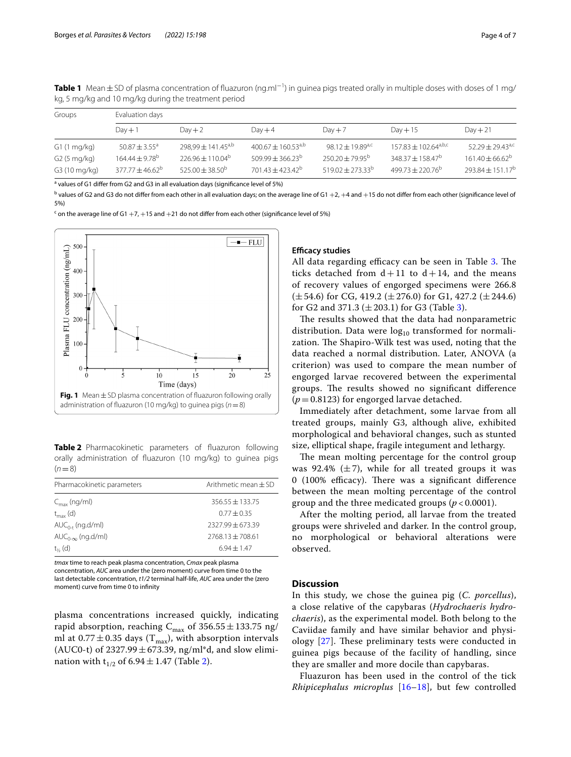| Groups                   | Evaluation days                |                                |                             |                              |                                                |                                     |  |  |
|--------------------------|--------------------------------|--------------------------------|-----------------------------|------------------------------|------------------------------------------------|-------------------------------------|--|--|
|                          | $Day + 1$                      | $Day + 2$                      | $Day + 4$                   | $Day + 7$                    | $Day + 15$                                     | $Day + 21$                          |  |  |
| G1(1 mg/kg)              | $50.87 \pm 3.55^a$             | 298,99 ± 141.45 <sup>a,b</sup> | $400.67 + 160.53^{a,b}$     | 98.12 ± 19.89 <sup>a,c</sup> | $157.83 + 102.64^{\text{a},\text{b},\text{c}}$ | $52.29 + 29.43^{\text{a},\text{c}}$ |  |  |
| G <sub>2</sub> (5 mg/kg) | 164.44 $\pm$ 9.78 <sup>b</sup> | $226.96 \pm 110.04^{\circ}$    | $509.99 \pm 366.23^{\circ}$ | $250.20 \pm 79.95^{\circ}$   | $348.37 \pm 158.47^b$                          | $161.40 \pm 66.62^{\circ}$          |  |  |
| G3 (10 mg/kg)            | $377.77 + 46.62^b$             | $525.00 \pm 38.50^{\circ}$     | $701.43 + 423.42^b$         | $519.02 + 273.33^{b}$        | $499.73 + 220.76^{b}$                          | $293.84 \pm 151.17^b$               |  |  |

<span id="page-3-0"></span>**Table 1** Mean±SD of plasma concentration of fluazuron (ng.ml<sup>−1</sup>) in guinea pigs treated orally in multiple doses with doses of 1 mg/ kg, 5 mg/kg and 10 mg/kg during the treatment period

<sup>a</sup> values of G1 differ from G2 and G3 in all evaluation days (significance level of 5%)

 $^{\rm b}$  values of G2 and G3 do not differ from each other in all evaluation days; on the average line of G1  $+2$ ,  $+4$  and  $+15$  do not differ from each other (significance level of 5%)

 $\cdot$  on the average line of G1  $+7$ ,  $+15$  and  $+21$  do not differ from each other (significance level of 5%)



<span id="page-3-2"></span><span id="page-3-1"></span>**Table 2** Pharmacokinetic parameters of fuazuron following orally administration of fuazuron (10 mg/kg) to guinea pigs  $(n=8)$ 

| Arithmetic mean $\pm$ SD |
|--------------------------|
| $356.55 + 133.75$        |
| $0.77 + 0.35$            |
| $2327.99 + 673.39$       |
| $7768.13 + 708.61$       |
| $6.94 + 1.47$            |
|                          |

*tmax* time to reach peak plasma concentration, *Cmax* peak plasma concentration, *AUC* area under the (zero moment) curve from time 0 to the last detectable concentration, *t1/2* terminal half-life, *AUC* area under the (zero moment) curve from time 0 to infnity

plasma concentrations increased quickly, indicating rapid absorption, reaching  $C_{\text{max}}$  of 356.55  $\pm$ 133.75 ng/ ml at  $0.77 \pm 0.35$  days (T<sub>max</sub>), with absorption intervals (AUC0-t) of  $2327.99 \pm 673.39$ , ng/ml\*d, and slow elimination with  $t_{1/2}$  of 6.94  $\pm$  1.47 (Table [2\)](#page-3-2).

## **Efficacy studies**

All data regarding efficacy can be seen in Table [3](#page-4-0). The ticks detached from  $d+11$  to  $d+14$ , and the means of recovery values of engorged specimens were 266.8  $(\pm 54.6)$  for CG, 419.2 ( $\pm 276.0$ ) for G1, 427.2 ( $\pm 244.6$ ) for G2 and 371.3 ( $\pm$  203.1) for G3 (Table [3\)](#page-4-0).

The results showed that the data had nonparametric distribution. Data were  $log_{10}$  transformed for normalization. The Shapiro-Wilk test was used, noting that the data reached a normal distribution. Later, ANOVA (a criterion) was used to compare the mean number of engorged larvae recovered between the experimental groups. The results showed no significant difference  $(p=0.8123)$  for engorged larvae detached.

Immediately after detachment, some larvae from all treated groups, mainly G3, although alive, exhibited morphological and behavioral changes, such as stunted size, elliptical shape, fragile integument and lethargy.

The mean molting percentage for the control group was 92.4%  $(\pm 7)$ , while for all treated groups it was 0 (100% efficacy). There was a significant difference between the mean molting percentage of the control group and the three medicated groups (*p* < 0.0001).

After the molting period, all larvae from the treated groups were shriveled and darker. In the control group, no morphological or behavioral alterations were observed.

## **Discussion**

In this study, we chose the guinea pig (*C. porcellus*), a close relative of the capybaras (*Hydrochaeris hydrochaeris*), as the experimental model. Both belong to the Caviidae family and have similar behavior and physiology  $[27]$  $[27]$ . These preliminary tests were conducted in guinea pigs because of the facility of handling, since they are smaller and more docile than capybaras.

Fluazuron has been used in the control of the tick *Rhipicephalus microplus* [[16–](#page-6-10)[18](#page-6-11)], but few controlled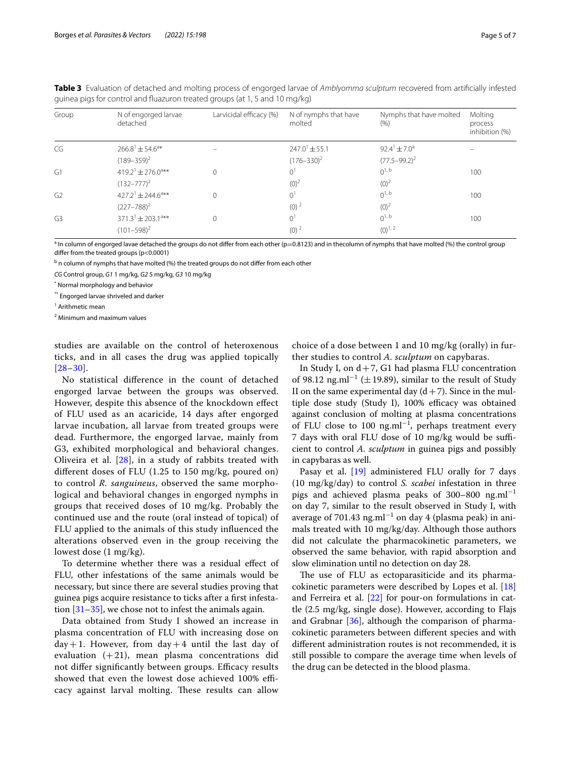| Group          | N of engorged larvae<br>detached          | Larvicidal efficacy (%) | N of nymphs that have<br>molted | Nymphs that have molted<br>(% ) | Molting<br>process<br>inhibition (%) |
|----------------|-------------------------------------------|-------------------------|---------------------------------|---------------------------------|--------------------------------------|
| CG             | $266.8^{\text{1}} \pm 54.6^{\text{a}}$ *  |                         | $247.0^{1} \pm 55.1$            | $92.4^{\circ} \pm 7.0^{\circ}$  |                                      |
|                | $(189 - 359)^2$                           |                         | $(176 - 330)^2$                 | $(77.5 - 99.2)^2$               |                                      |
| G1             | $419.2^{\text{1}}$ ± 276.0 <sup>a**</sup> | 0                       | 0 <sup>1</sup>                  | $0^{1, b}$                      | 100                                  |
|                | $(132 - 777)^2$                           |                         | $(0)^2$                         | $(0)^2$                         |                                      |
| G <sub>2</sub> | $427.2^1 \pm 244.6^{\text{a}}$ **         | $\Omega$                | 0 <sup>1</sup>                  | $0^{1, b}$                      | 100                                  |
|                | $(227 - 788)^2$                           |                         | $(0)^2$                         | $(0)^2$                         |                                      |
| G <sub>3</sub> | $371.3^1 \pm 203.1^{\text{a}**}$          | 0                       | 0 <sup>1</sup>                  | $0^{1, b}$                      | 100                                  |
|                | $(101 - 598)^2$                           |                         | $(0)^{2}$                       | $(0)^{1, 2}$                    |                                      |

<span id="page-4-0"></span>**Table 3** Evaluation of detached and molting process of engorged larvae of *Amblyomma sculptum* recovered from artifcially infested guinea pigs for control and fuazuron treated groups (at 1, 5 and 10 mg/kg)

a In column of engorged lavae detached the groups do not difer from each other (p=0.8123) and in thecolumn of nymphs that have molted (%) the control group difer from the treated groups (p<0.0001)

<sup>b</sup> n column of nymphs that have molted (%) the treated groups do not differ from each other

*CG* Control group, *G1* 1 mg/kg, *G2* 5 mg/kg, *G3* 10 mg/kg

\* Normal morphology and behavior

\*\* Engorged larvae shriveled and darker

<sup>1</sup> Arithmetic mean

2 Minimum and maximum values

studies are available on the control of heteroxenous ticks, and in all cases the drug was applied topically  $[28-30]$  $[28-30]$  $[28-30]$ .

No statistical diference in the count of detached engorged larvae between the groups was observed. However, despite this absence of the knockdown efect of FLU used as an acaricide, 14 days after engorged larvae incubation, all larvae from treated groups were dead. Furthermore, the engorged larvae, mainly from G3, exhibited morphological and behavioral changes. Oliveira et al. [[28](#page-6-21)], in a study of rabbits treated with diferent doses of FLU (1.25 to 150 mg/kg, poured on) to control *R. sanguineus*, observed the same morphological and behavioral changes in engorged nymphs in groups that received doses of 10 mg/kg. Probably the continued use and the route (oral instead of topical) of FLU applied to the animals of this study infuenced the alterations observed even in the group receiving the lowest dose (1 mg/kg).

To determine whether there was a residual efect of FLU, other infestations of the same animals would be necessary, but since there are several studies proving that guinea pigs acquire resistance to ticks after a frst infestation  $[31-35]$  $[31-35]$  $[31-35]$ , we chose not to infest the animals again.

Data obtained from Study I showed an increase in plasma concentration of FLU with increasing dose on  $day+1$ . However, from day + 4 until the last day of evaluation  $(+21)$ , mean plasma concentrations did not differ significantly between groups. Efficacy results showed that even the lowest dose achieved 100% efficacy against larval molting. These results can allow

choice of a dose between 1 and 10 mg/kg (orally) in further studies to control *A. sculptum* on capybaras.

In Study I, on  $d+7$ , G1 had plasma FLU concentration of 98.12 ng.ml<sup>-1</sup> ( $\pm$ 19.89), similar to the result of Study II on the same experimental day  $(d+7)$ . Since in the multiple dose study (Study I),  $100\%$  efficacy was obtained against conclusion of molting at plasma concentrations of FLU close to 100 ng.ml<sup>-1</sup>, perhaps treatment every 7 days with oral FLU dose of 10 mg/kg would be sufficient to control *A. sculptum* in guinea pigs and possibly in capybaras as well.

Pasay et al. [\[19](#page-6-12)] administered FLU orally for 7 days (10 mg/kg/day) to control *S. scabei* infestation in three pigs and achieved plasma peaks of 300–800  $ng.ml^{-1}$ on day 7, similar to the result observed in Study I, with average of 701.43 ng.ml<sup>-1</sup> on day 4 (plasma peak) in animals treated with 10 mg/kg/day. Although those authors did not calculate the pharmacokinetic parameters, we observed the same behavior, with rapid absorption and slow elimination until no detection on day 28.

The use of FLU as ectoparasiticide and its pharmacokinetic parameters were described by Lopes et al. [[18](#page-6-11)] and Ferreira et al.  $[22]$  $[22]$  for pour-on formulations in cattle (2.5 mg/kg, single dose). However, according to Flajs and Grabnar [\[36](#page-6-25)], although the comparison of pharmacokinetic parameters between diferent species and with diferent administration routes is not recommended, it is still possible to compare the average time when levels of the drug can be detected in the blood plasma.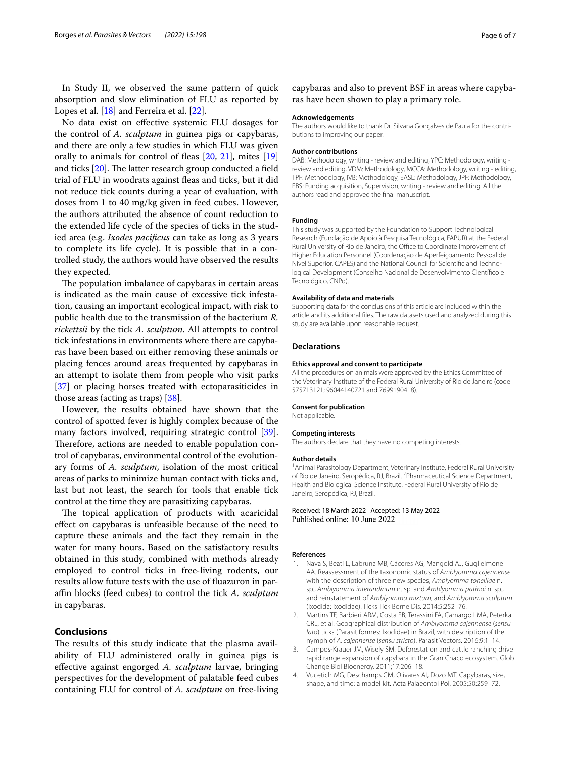In Study II, we observed the same pattern of quick absorption and slow elimination of FLU as reported by Lopes et al. [\[18](#page-6-11)] and Ferreira et al. [\[22](#page-6-15)].

No data exist on efective systemic FLU dosages for the control of *A. sculptum* in guinea pigs or capybaras, and there are only a few studies in which FLU was given orally to animals for control of feas [\[20](#page-6-13), [21\]](#page-6-14), mites [[19](#page-6-12)] and ticks  $[20]$  $[20]$ . The latter research group conducted a field trial of FLU in woodrats against feas and ticks, but it did not reduce tick counts during a year of evaluation, with doses from 1 to 40 mg/kg given in feed cubes. However, the authors attributed the absence of count reduction to the extended life cycle of the species of ticks in the studied area (e.g. *Ixodes pacifcus* can take as long as 3 years to complete its life cycle). It is possible that in a controlled study, the authors would have observed the results they expected.

The population imbalance of capybaras in certain areas is indicated as the main cause of excessive tick infestation, causing an important ecological impact, with risk to public health due to the transmission of the bacterium *R. rickettsii* by the tick *A. sculptum*. All attempts to control tick infestations in environments where there are capybaras have been based on either removing these animals or placing fences around areas frequented by capybaras in an attempt to isolate them from people who visit parks [[37\]](#page-6-26) or placing horses treated with ectoparasiticides in those areas (acting as traps) [[38\]](#page-6-27).

However, the results obtained have shown that the control of spotted fever is highly complex because of the many factors involved, requiring strategic control [\[39](#page-6-28)]. Therefore, actions are needed to enable population control of capybaras, environmental control of the evolutionary forms of *A. sculptum*, isolation of the most critical areas of parks to minimize human contact with ticks and, last but not least, the search for tools that enable tick control at the time they are parasitizing capybaras.

The topical application of products with acaricidal efect on capybaras is unfeasible because of the need to capture these animals and the fact they remain in the water for many hours. Based on the satisfactory results obtained in this study, combined with methods already employed to control ticks in free-living rodents, our results allow future tests with the use of fuazuron in parafn blocks (feed cubes) to control the tick *A. sculptum* in capybaras.

## **Conclusions**

The results of this study indicate that the plasma availability of FLU administered orally in guinea pigs is efective against engorged *A. sculptum* larvae, bringing perspectives for the development of palatable feed cubes containing FLU for control of *A. sculptum* on free-living

capybaras and also to prevent BSF in areas where capybaras have been shown to play a primary role.

#### **Acknowledgements**

The authors would like to thank Dr. Silvana Gonçalves de Paula for the contributions to improving our paper.

### **Author contributions**

DAB: Methodology, writing - review and editing, YPC: Methodology, writing review and editing, VDM: Methodology, MCCA: Methodology, writing - editing, TPF: Methodology, IVB: Methodology, EASL: Methodology, JPF: Methodology, FBS: Funding acquisition, Supervision, writing - review and editing. All the authors read and approved the fnal manuscript.

#### **Funding**

This study was supported by the Foundation to Support Technological Research (Fundação de Apoio à Pesquisa Tecnológica, FAPUR) at the Federal Rural University of Rio de Janeiro, the Office to Coordinate Improvement of Higher Education Personnel (Coordenação de Aperfeiçoamento Pessoal de Nível Superior, CAPES) and the National Council for Scientifc and Technological Development (Conselho Nacional de Desenvolvimento Científco e Tecnológico, CNPq).

#### **Availability of data and materials**

Supporting data for the conclusions of this article are included within the article and its additional fles. The raw datasets used and analyzed during this study are available upon reasonable request.

#### **Declarations**

#### **Ethics approval and consent to participate**

All the procedures on animals were approved by the Ethics Committee of the Veterinary Institute of the Federal Rural University of Rio de Janeiro (code 575713121; 96044140721 and 7699190418).

#### **Consent for publication**

Not applicable.

#### **Competing interests**

The authors declare that they have no competing interests.

#### **Author details**

<sup>1</sup> Animal Parasitology Department, Veterinary Institute, Federal Rural University of Rio de Janeiro, Seropédica, RJ, Brazil. <sup>2</sup> Pharmaceutical Science Department, Health and Biological Science Institute, Federal Rural University of Rio de Janeiro, Seropédica, RJ, Brazil.

Received: 18 March 2022 Accepted: 13 May 2022 Published online: 10 June 2022

#### **References**

- <span id="page-5-0"></span>1. Nava S, Beati L, Labruna MB, Cáceres AG, Mangold AJ, Guglielmone AA. Reassessment of the taxonomic status of *Amblyomma cajennense* with the description of three new species, *Amblyomma tonelliae* n. sp., *Amblyomma interandinum* n. sp. and *Amblyomma patinoi* n. sp., and reinstatement of *Amblyomma mixtum*, and *Amblyomma sculptum* (Ixodida: Ixodidae). Ticks Tick Borne Dis. 2014;5:252–76.
- <span id="page-5-1"></span>2. Martins TF, Barbieri ARM, Costa FB, Terassini FA, Camargo LMA, Peterka CRL, et al. Geographical distribution of *Amblyomma cajennense* (*sensu lato*) ticks (Parasitiformes: Ixodidae) in Brazil, with description of the nymph of *A. cajennense* (*sensu stricto*). Parasit Vectors. 2016;9:1–14.
- <span id="page-5-2"></span>3. Campos-Krauer JM, Wisely SM. Deforestation and cattle ranching drive rapid range expansion of capybara in the Gran Chaco ecosystem. Glob Change Biol Bioenergy. 2011;17:206–18.
- <span id="page-5-3"></span>4. Vucetich MG, Deschamps CM, Olivares AI, Dozo MT. Capybaras, size, shape, and time: a model kit. Acta Palaeontol Pol. 2005;50:259–72.